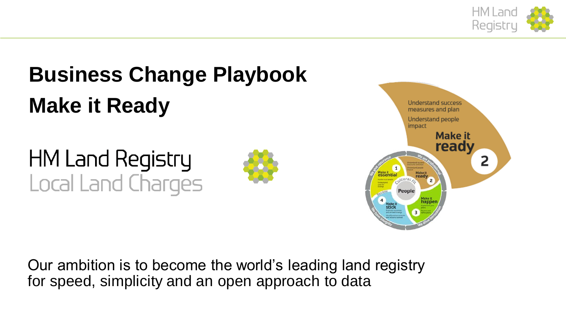

# **Business Change Playbook Make it Ready**

**HM Land Registry** Local Land Charges





Our ambition is to become the world's leading land registry for speed, simplicity and an open approach to data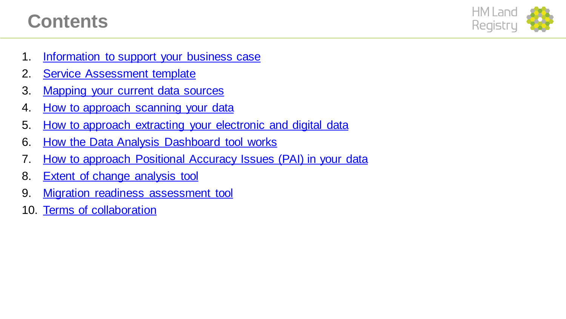## **Contents**



- 1. Information to support your business case
- 2. Service Assessment template
- 3. Mapping your current data sources
- 4. How to approach scanning your data
- 5. How to approach extracting your electronic and digital data
- 6. [How the Data Analysis Dashboard tool works](#page-11-0)
- 7. [How to approach Positional Accuracy Issues \(PAI\) in your data](#page-7-0)
- 8. Extent of change analysis tool
- 9. [Migration readiness assessment tool](#page-6-0)
- 10. Terms of collaboration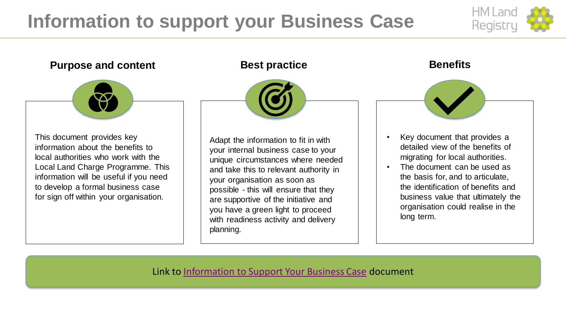## <span id="page-2-0"></span>**Information to support your Business Case**



### **Purpose and content Best practice <b>Benefits Benefits**



This document provides key information about the benefits to local authorities who work with the Local Land Charge Programme. This information will be useful if you need to develop a formal business case for sign off within your organisation.



Adapt the information to fit in with your internal business case to your unique circumstances where needed and take this to relevant authority in your organisation as soon as possible - this will ensure that they are supportive of the initiative and you have a green light to proceed with readiness activity and delivery planning.

- Key document that provides a detailed view of the benefits of migrating for local authorities.
- The document can be used as the basis for, and to articulate, the identification of benefits and business value that ultimately the organisation could realise in the long term.

Link to [Information to Support Your Business Case](https://landregistry.github.io/local-land-charges/files/Migration/Getting your service ready/Information to support your business case.pdf) document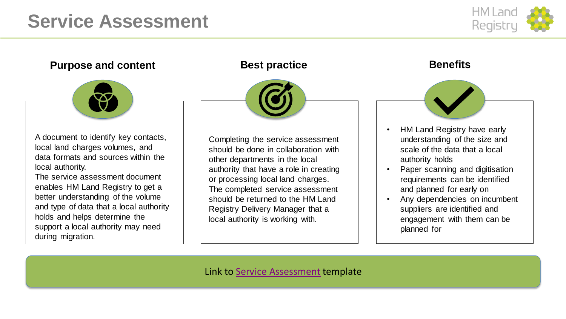## **Service Assessment**



### **Purpose and content Best practice <b>Benefits Benefits**



A document to identify key contacts, local land charges volumes, and data formats and sources within the local authority.

The service assessment document enables HM Land Registry to get a better understanding of the volume and type of data that a local authority holds and helps determine the support a local authority may need during migration.



Completing the service assessment should be done in collaboration with other departments in the local authority that have a role in creating or processing local land charges. The completed service assessment should be returned to the HM Land Registry Delivery Manager that a local authority is working with.

- HM Land Registry have early understanding of the size and scale of the data that a local authority holds
- Paper scanning and digitisation requirements can be identified and planned for early on
- Any dependencies on incumbent suppliers are identified and engagement with them can be planned for

Link to [Service Assessment](https://landregistry.github.io/local-land-charges/files/Migration/Getting your service ready/Service assessment template.xlsx) template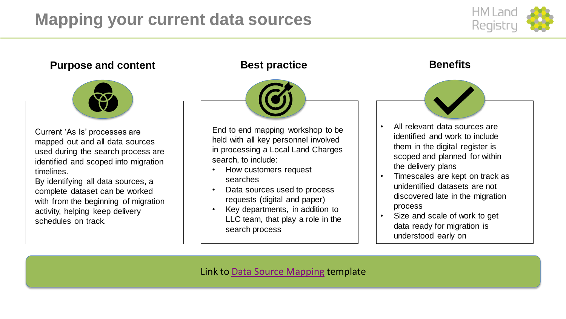## <span id="page-4-0"></span>**Mapping your current data sources**



### **Purpose and content Best practice <b>Benefits Benefits**



Current 'As Is' processes are mapped out and all data sources used during the search process are identified and scoped into migration timelines.

By identifying all data sources, a complete dataset can be worked with from the beginning of migration activity, helping keep delivery schedules on track.



End to end mapping workshop to be held with all key personnel involved in processing a Local Land Charges search, to include:

- How customers request searches
- Data sources used to process requests (digital and paper)
- Key departments, in addition to LLC team, that play a role in the search process

- All relevant data sources are identified and work to include them in the digital register is scoped and planned for within the delivery plans
- Timescales are kept on track as unidentified datasets are not discovered late in the migration process
- Size and scale of work to get data ready for migration is understood early on

Link to **Data Source Mapping template**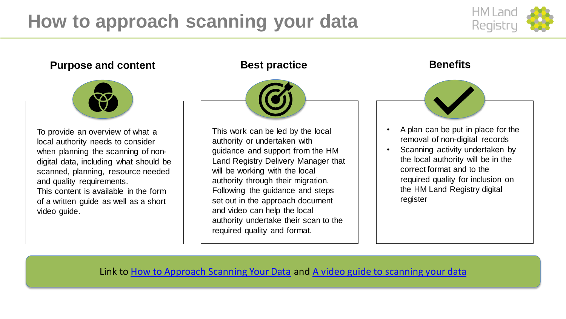## <span id="page-5-0"></span>**How to approach scanning your data**



### **Purpose and content Best practice <b>Benefits Benefits**



To provide an overview of what a local authority needs to consider when planning the scanning of nondigital data, including what should be scanned, planning, resource needed and quality requirements. This content is available in the form of a written guide as well as a short video guide.



This work can be led by the local authority or undertaken with guidance and support from the HM Land Registry Delivery Manager that will be working with the local authority through their migration. Following the guidance and steps set out in the approach document and video can help the local authority undertake their scan to the required quality and format.

- A plan can be put in place for the removal of non-digital records
- Scanning activity undertaken by the local authority will be in the correct format and to the required quality for inclusion on the HM Land Registry digital register

### Link to **How to Approach Scanning Your Data** and **A video guide to scanning your data**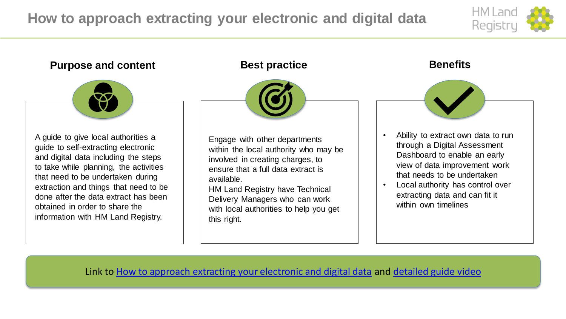## <span id="page-6-0"></span>**How to approach extracting your electronic and digital data**





Link to **How to approach extracting your electronic and digital data** and [detailed guide video](https://landregistry.github.io/local-land-charges/files/Migration/Getting your service ready/A detailed guide to extracting your electronic and digital data.mp4)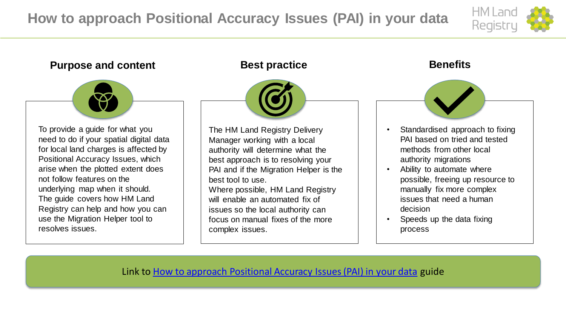## <span id="page-7-0"></span>**How to approach Positional Accuracy Issues (PAI) in your data**



### **Purpose and content Best practice <b>Benefits Benefits**



To provide a guide for what you need to do if your spatial digital data for local land charges is affected by Positional Accuracy Issues, which arise when the plotted extent does not follow features on the underlying map when it should. The guide covers how HM Land Registry can help and how you can use the Migration Helper tool to resolves issues.



The HM Land Registry Delivery Manager working with a local authority will determine what the best approach is to resolving your PAI and if the Migration Helper is the best tool to use.

Where possible, HM Land Registry will enable an automated fix of issues so the local authority can focus on manual fixes of the more complex issues.

- Standardised approach to fixing PAI based on tried and tested methods from other local authority migrations
- Ability to automate where possible, freeing up resource to manually fix more complex issues that need a human decision
- Speeds up the data fixing process

Link to **How to approach Positional Accuracy Issues (PAI) in your data** guide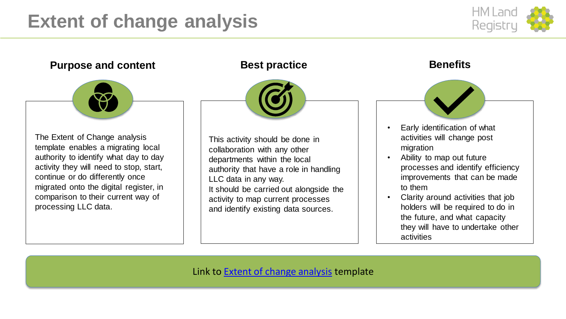## **Extent of change analysis**



### **Purpose and content Best practice Benefits Benefits** The Extent of Change analysis template enables a migrating local authority to identify what day to day activity they will need to stop, start, continue or do differently once migrated onto the digital register, in comparison to their current way of processing LLC data. This activity should be done in collaboration with any other departments within the local authority that have a role in handling LLC data in any way. It should be carried out alongside the activity to map current processes and identify existing data sources. • Early identification of what activities will change post migration • Ability to map out future processes and identify efficiency improvements that can be made to them • Clarity around activities that job holders will be required to do in the future, and what capacity they will have to undertake other activities

Link to **Extent of change analysis** template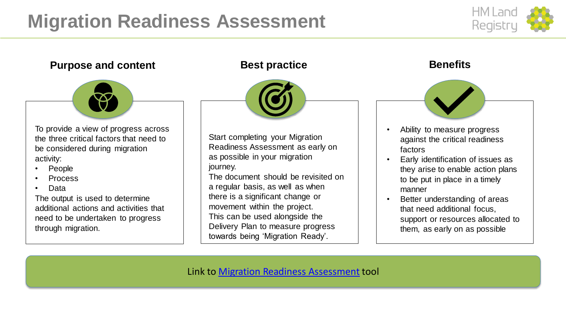## <span id="page-9-0"></span>**Migration Readiness Assessment**



### **Purpose and content Best practice <b>Benefits Benefits**



To provide a view of progress across the three critical factors that need to be considered during migration activity:

- **People**
- Process
- Data

The output is used to determine additional actions and activities that need to be undertaken to progress through migration.



Start completing your Migration Readiness Assessment as early on as possible in your migration journey.

The document should be revisited on a regular basis, as well as when there is a significant change or movement within the project. This can be used alongside the Delivery Plan to measure progress towards being 'Migration Ready'.

- Ability to measure progress against the critical readiness factors
- Early identification of issues as they arise to enable action plans to be put in place in a timely manner
- Better understanding of areas that need additional focus, support or resources allocated to them, as early on as possible

Link to **Migration Readiness Assessment** tool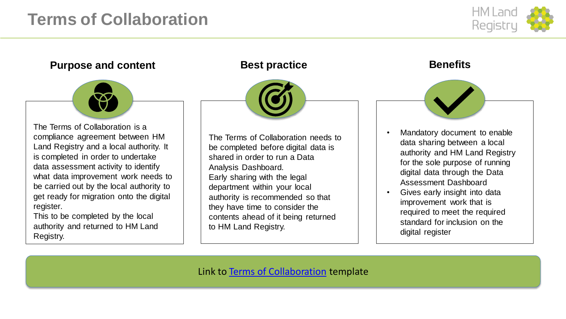## **Terms of Collaboration**



### **Purpose and content Best practice <b>Benefits Benefits**



The Terms of Collaboration is a compliance agreement between HM Land Registry and a local authority. It is completed in order to undertake data assessment activity to identify what data improvement work needs to be carried out by the local authority to get ready for migration onto the digital register.

This to be completed by the local authority and returned to HM Land Registry.



The Terms of Collaboration needs to be completed before digital data is shared in order to run a Data Analysis Dashboard. Early sharing with the legal department within your local authority is recommended so that they have time to consider the contents ahead of it being returned to HM Land Registry.

- Mandatory document to enable data sharing between a local authority and HM Land Registry for the sole purpose of running digital data through the Data Assessment Dashboard
- Gives early insight into data improvement work that is required to meet the required standard for inclusion on the digital register

Link to [Terms of Collaboration](https://landregistry.github.io/local-land-charges/files/Migration/Getting your service ready/Terms of collaboration.odt) template